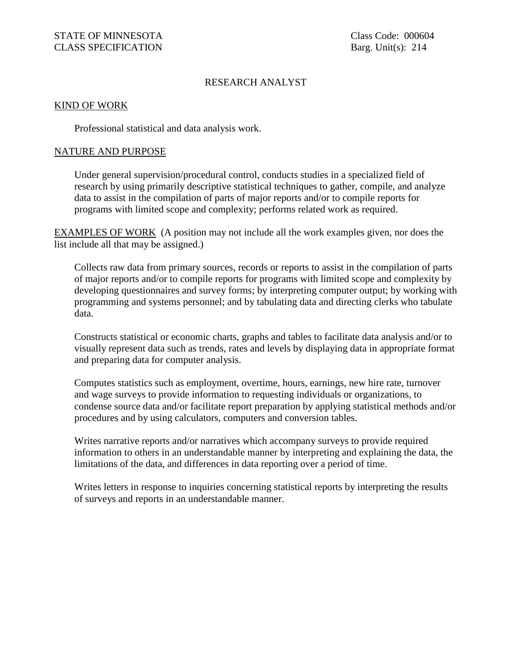## RESEARCH ANALYST

## KIND OF WORK

Professional statistical and data analysis work.

## NATURE AND PURPOSE

Under general supervision/procedural control, conducts studies in a specialized field of research by using primarily descriptive statistical techniques to gather, compile, and analyze data to assist in the compilation of parts of major reports and/or to compile reports for programs with limited scope and complexity; performs related work as required.

EXAMPLES OF WORK (A position may not include all the work examples given, nor does the list include all that may be assigned.)

Collects raw data from primary sources, records or reports to assist in the compilation of parts of major reports and/or to compile reports for programs with limited scope and complexity by developing questionnaires and survey forms; by interpreting computer output; by working with programming and systems personnel; and by tabulating data and directing clerks who tabulate data.

Constructs statistical or economic charts, graphs and tables to facilitate data analysis and/or to visually represent data such as trends, rates and levels by displaying data in appropriate format and preparing data for computer analysis.

Computes statistics such as employment, overtime, hours, earnings, new hire rate, turnover and wage surveys to provide information to requesting individuals or organizations, to condense source data and/or facilitate report preparation by applying statistical methods and/or procedures and by using calculators, computers and conversion tables.

Writes narrative reports and/or narratives which accompany surveys to provide required information to others in an understandable manner by interpreting and explaining the data, the limitations of the data, and differences in data reporting over a period of time.

Writes letters in response to inquiries concerning statistical reports by interpreting the results of surveys and reports in an understandable manner.